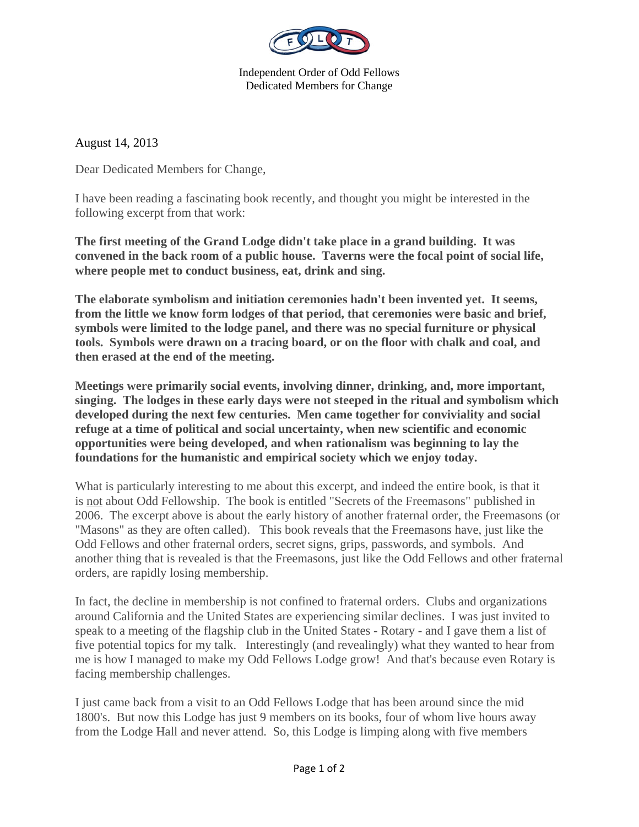

Independent Order of Odd Fellows Dedicated Members for Change

August 14, 2013

Dear Dedicated Members for Change,

I have been reading a fascinating book recently, and thought you might be interested in the following excerpt from that work:

**The first meeting of the Grand Lodge didn't take place in a grand building. It was convened in the back room of a public house. Taverns were the focal point of social life, where people met to conduct business, eat, drink and sing.** 

**The elaborate symbolism and initiation ceremonies hadn't been invented yet. It seems, from the little we know form lodges of that period, that ceremonies were basic and brief, symbols were limited to the lodge panel, and there was no special furniture or physical tools. Symbols were drawn on a tracing board, or on the floor with chalk and coal, and then erased at the end of the meeting.** 

**Meetings were primarily social events, involving dinner, drinking, and, more important, singing. The lodges in these early days were not steeped in the ritual and symbolism which developed during the next few centuries. Men came together for conviviality and social refuge at a time of political and social uncertainty, when new scientific and economic opportunities were being developed, and when rationalism was beginning to lay the foundations for the humanistic and empirical society which we enjoy today.** 

What is particularly interesting to me about this excerpt, and indeed the entire book, is that it is not about Odd Fellowship. The book is entitled "Secrets of the Freemasons" published in 2006. The excerpt above is about the early history of another fraternal order, the Freemasons (or "Masons" as they are often called). This book reveals that the Freemasons have, just like the Odd Fellows and other fraternal orders, secret signs, grips, passwords, and symbols. And another thing that is revealed is that the Freemasons, just like the Odd Fellows and other fraternal orders, are rapidly losing membership.

In fact, the decline in membership is not confined to fraternal orders. Clubs and organizations around California and the United States are experiencing similar declines. I was just invited to speak to a meeting of the flagship club in the United States - Rotary - and I gave them a list of five potential topics for my talk. Interestingly (and revealingly) what they wanted to hear from me is how I managed to make my Odd Fellows Lodge grow! And that's because even Rotary is facing membership challenges.

I just came back from a visit to an Odd Fellows Lodge that has been around since the mid 1800's. But now this Lodge has just 9 members on its books, four of whom live hours away from the Lodge Hall and never attend. So, this Lodge is limping along with five members